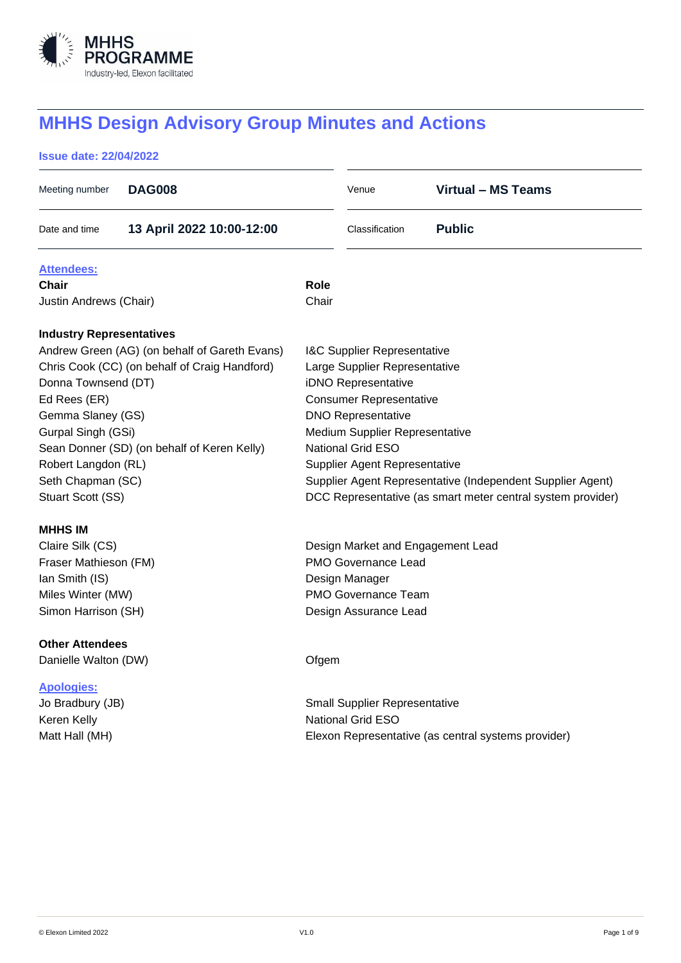

# **MHHS Design Advisory Group Minutes and Actions**

# **Issue date: 22/04/2022**

| Meeting number                                | <b>DAG008</b>                               |                                                            | Venue                                | <b>Virtual - MS Teams</b>                                   |  |  |
|-----------------------------------------------|---------------------------------------------|------------------------------------------------------------|--------------------------------------|-------------------------------------------------------------|--|--|
| Date and time                                 | 13 April 2022 10:00-12:00                   |                                                            | Classification                       | <b>Public</b>                                               |  |  |
| <b>Attendees:</b>                             |                                             |                                                            |                                      |                                                             |  |  |
| Chair                                         |                                             | <b>Role</b>                                                |                                      |                                                             |  |  |
| Justin Andrews (Chair)                        |                                             | Chair                                                      |                                      |                                                             |  |  |
| <b>Industry Representatives</b>               |                                             |                                                            |                                      |                                                             |  |  |
| Andrew Green (AG) (on behalf of Gareth Evans) |                                             | <b>I&amp;C Supplier Representative</b>                     |                                      |                                                             |  |  |
| Chris Cook (CC) (on behalf of Craig Handford) |                                             | Large Supplier Representative                              |                                      |                                                             |  |  |
| Donna Townsend (DT)                           |                                             | iDNO Representative                                        |                                      |                                                             |  |  |
| Ed Rees (ER)                                  |                                             | <b>Consumer Representative</b>                             |                                      |                                                             |  |  |
| Gemma Slaney (GS)                             |                                             | <b>DNO Representative</b>                                  |                                      |                                                             |  |  |
| Gurpal Singh (GSi)                            |                                             | Medium Supplier Representative                             |                                      |                                                             |  |  |
|                                               | Sean Donner (SD) (on behalf of Keren Kelly) |                                                            | <b>National Grid ESO</b>             |                                                             |  |  |
| Robert Langdon (RL)                           |                                             | <b>Supplier Agent Representative</b>                       |                                      |                                                             |  |  |
| Seth Chapman (SC)                             |                                             | Supplier Agent Representative (Independent Supplier Agent) |                                      |                                                             |  |  |
| Stuart Scott (SS)                             |                                             |                                                            |                                      | DCC Representative (as smart meter central system provider) |  |  |
| <b>MHHS IM</b>                                |                                             |                                                            |                                      |                                                             |  |  |
| Claire Silk (CS)                              |                                             | Design Market and Engagement Lead                          |                                      |                                                             |  |  |
| Fraser Mathieson (FM)                         |                                             | <b>PMO Governance Lead</b>                                 |                                      |                                                             |  |  |
| Ian Smith (IS)                                |                                             | Design Manager                                             |                                      |                                                             |  |  |
| Miles Winter (MW)                             |                                             | <b>PMO Governance Team</b>                                 |                                      |                                                             |  |  |
| Simon Harrison (SH)                           |                                             |                                                            | Design Assurance Lead                |                                                             |  |  |
| <b>Other Attendees</b>                        |                                             |                                                            |                                      |                                                             |  |  |
| Danielle Walton (DW)                          |                                             | Ofgem                                                      |                                      |                                                             |  |  |
| <b>Apologies:</b>                             |                                             |                                                            |                                      |                                                             |  |  |
| Jo Bradbury (JB)                              |                                             |                                                            | <b>Small Supplier Representative</b> |                                                             |  |  |
| Keren Kelly                                   |                                             |                                                            | National Grid ESO                    |                                                             |  |  |
| Matt Hall (MH)                                |                                             |                                                            |                                      | Elexon Representative (as central systems provider)         |  |  |
|                                               |                                             |                                                            |                                      |                                                             |  |  |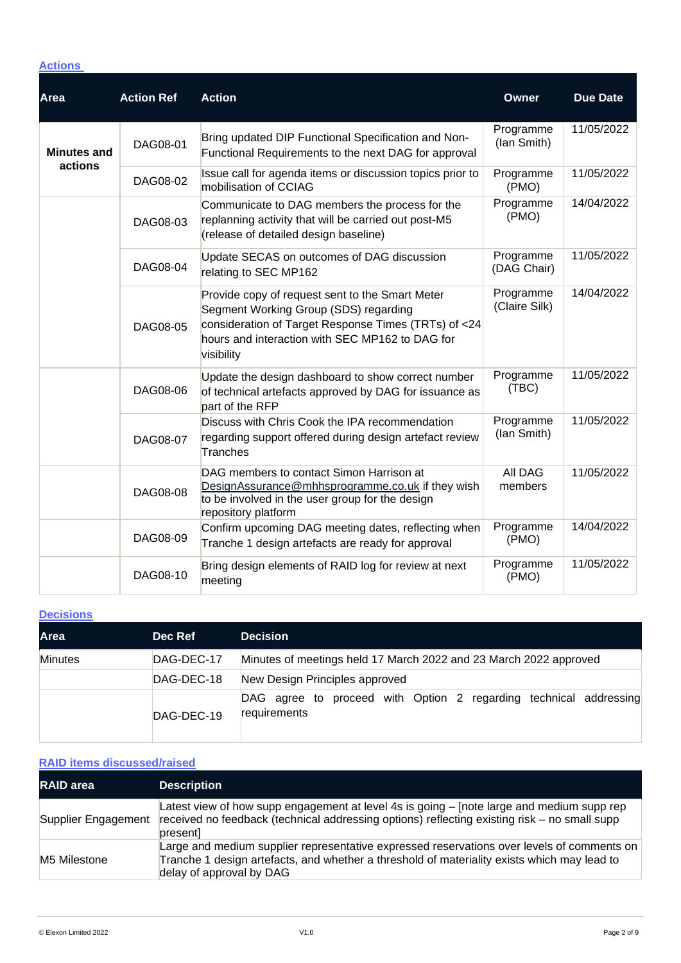## **Actions**

| <b>Area</b>                   | <b>Action Ref</b> | <b>Action</b>                                                                                                                                                                                                     | <b>Owner</b>               | <b>Due Date</b> |
|-------------------------------|-------------------|-------------------------------------------------------------------------------------------------------------------------------------------------------------------------------------------------------------------|----------------------------|-----------------|
| <b>Minutes and</b><br>actions | DAG08-01          | Bring updated DIP Functional Specification and Non-<br>Functional Requirements to the next DAG for approval                                                                                                       | Programme<br>(lan Smith)   | 11/05/2022      |
|                               | DAG08-02          | Issue call for agenda items or discussion topics prior to<br>mobilisation of CCIAG                                                                                                                                | Programme<br>(PMO)         | 11/05/2022      |
|                               | DAG08-03          | Communicate to DAG members the process for the<br>replanning activity that will be carried out post-M5<br>(release of detailed design baseline)                                                                   | Programme<br>(PMO)         | 14/04/2022      |
|                               | DAG08-04          | Update SECAS on outcomes of DAG discussion<br>relating to SEC MP162                                                                                                                                               | Programme<br>(DAG Chair)   | 11/05/2022      |
|                               | DAG08-05          | Provide copy of request sent to the Smart Meter<br>Segment Working Group (SDS) regarding<br>consideration of Target Response Times (TRTs) of <24<br>hours and interaction with SEC MP162 to DAG for<br>visibility | Programme<br>(Claire Silk) | 14/04/2022      |
|                               | DAG08-06          | Update the design dashboard to show correct number<br>of technical artefacts approved by DAG for issuance as<br>part of the RFP                                                                                   | Programme<br>(TBC)         | 11/05/2022      |
|                               | DAG08-07          | Discuss with Chris Cook the IPA recommendation<br>regarding support offered during design artefact review<br>Tranches                                                                                             | Programme<br>(lan Smith)   | 11/05/2022      |
|                               | DAG08-08          | DAG members to contact Simon Harrison at<br>DesignAssurance@mhhsprogramme.co.uk if they wish<br>to be involved in the user group for the design<br>repository platform                                            | <b>AII DAG</b><br>members  | 11/05/2022      |
|                               | DAG08-09          | Confirm upcoming DAG meeting dates, reflecting when<br>Tranche 1 design artefacts are ready for approval                                                                                                          | Programme<br>(PMO)         | 14/04/2022      |
|                               | DAG08-10          | Bring design elements of RAID log for review at next<br>meeting                                                                                                                                                   | Programme<br>(PMO)         | 11/05/2022      |

## **Decisions**

| <b>Area</b>    | Dec Ref    | <b>Decision</b>                                                                   |  |
|----------------|------------|-----------------------------------------------------------------------------------|--|
| <b>Minutes</b> | DAG-DEC-17 | Minutes of meetings held 17 March 2022 and 23 March 2022 approved                 |  |
|                | DAG-DEC-18 | New Design Principles approved                                                    |  |
|                | DAG-DEC-19 | DAG agree to proceed with Option 2 regarding technical addressing<br>requirements |  |

# **RAID items discussed/raised**

| <b>RAID</b> area    | <b>Description</b>                                                                                                                                                                                                    |
|---------------------|-----------------------------------------------------------------------------------------------------------------------------------------------------------------------------------------------------------------------|
| Supplier Engagement | Latest view of how supp engagement at level 4s is going – [note large and medium supp rep<br>received no feedback (technical addressing options) reflecting existing risk - no small supp<br>presentl                 |
| M5 Milestone        | Large and medium supplier representative expressed reservations over levels of comments on<br>Tranche 1 design artefacts, and whether a threshold of materiality exists which may lead to<br>delay of approval by DAG |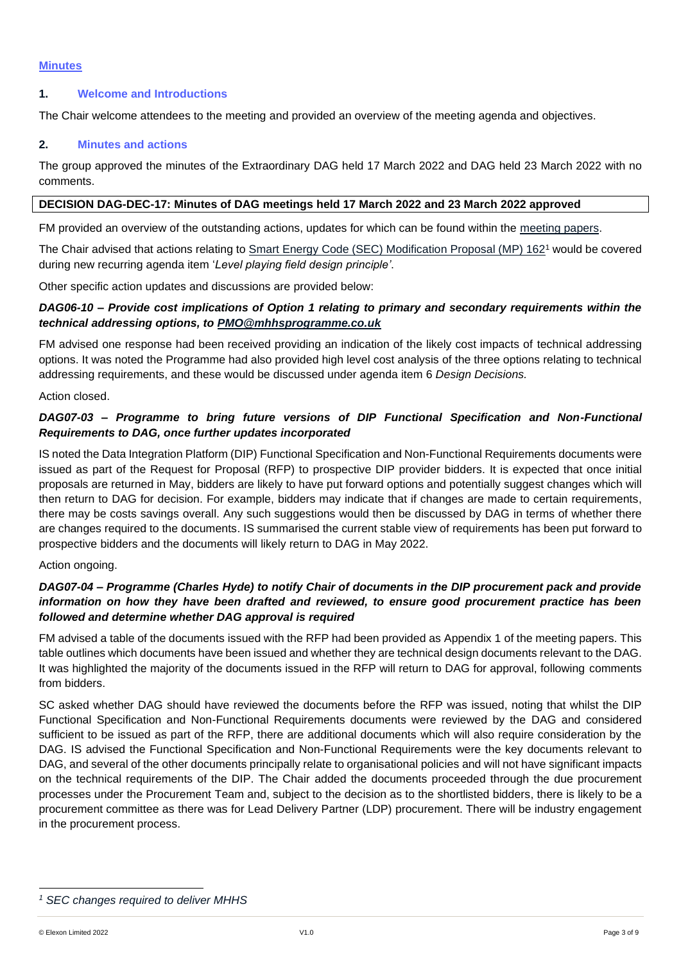## **1. Welcome and Introductions**

The Chair welcome attendees to the meeting and provided an overview of the meeting agenda and objectives.

## **2. Minutes and actions**

The group approved the minutes of the Extraordinary DAG held 17 March 2022 and DAG held 23 March 2022 with no comments.

#### **DECISION DAG-DEC-17: Minutes of DAG meetings held 17 March 2022 and 23 March 2022 approved**

FM provided an overview of the outstanding actions, updates for which can be found within the [meeting papers.](https://mhhsprogramme-production-cdn.s3.eu-west-2.amazonaws.com/wp-content/uploads/2022/04/06124839/MHHS-DEL351-DAG-13-April-2022-v1.0.pdf)

The Chair advised that actions relating to Smart Energy Code (SEC) [Modification Proposal \(MP\)](https://smartenergycodecompany.co.uk/modifications/sec-changes-required-to-deliver-mhhs/) 162<sup>1</sup> would be covered during new recurring agenda item '*Level playing field design principle'*.

Other specific action updates and discussions are provided below:

## *DAG06-10 – Provide cost implications of Option 1 relating to primary and secondary requirements within the technical addressing options, to [PMO@mhhsprogramme.co.uk](mailto:PMO@mhhsprogramme.co.uk)*

FM advised one response had been received providing an indication of the likely cost impacts of technical addressing options. It was noted the Programme had also provided high level cost analysis of the three options relating to technical addressing requirements, and these would be discussed under agenda item 6 *Design Decisions.* 

Action closed.

## *DAG07-03 – Programme to bring future versions of DIP Functional Specification and Non-Functional Requirements to DAG, once further updates incorporated*

IS noted the Data Integration Platform (DIP) Functional Specification and Non-Functional Requirements documents were issued as part of the Request for Proposal (RFP) to prospective DIP provider bidders. It is expected that once initial proposals are returned in May, bidders are likely to have put forward options and potentially suggest changes which will then return to DAG for decision. For example, bidders may indicate that if changes are made to certain requirements, there may be costs savings overall. Any such suggestions would then be discussed by DAG in terms of whether there are changes required to the documents. IS summarised the current stable view of requirements has been put forward to prospective bidders and the documents will likely return to DAG in May 2022.

#### Action ongoing.

## *DAG07-04 – Programme (Charles Hyde) to notify Chair of documents in the DIP procurement pack and provide information on how they have been drafted and reviewed, to ensure good procurement practice has been followed and determine whether DAG approval is required*

FM advised a table of the documents issued with the RFP had been provided as Appendix 1 of the meeting papers. This table outlines which documents have been issued and whether they are technical design documents relevant to the DAG. It was highlighted the majority of the documents issued in the RFP will return to DAG for approval, following comments from bidders.

SC asked whether DAG should have reviewed the documents before the RFP was issued, noting that whilst the DIP Functional Specification and Non-Functional Requirements documents were reviewed by the DAG and considered sufficient to be issued as part of the RFP, there are additional documents which will also require consideration by the DAG. IS advised the Functional Specification and Non-Functional Requirements were the key documents relevant to DAG, and several of the other documents principally relate to organisational policies and will not have significant impacts on the technical requirements of the DIP. The Chair added the documents proceeded through the due procurement processes under the Procurement Team and, subject to the decision as to the shortlisted bidders, there is likely to be a procurement committee as there was for Lead Delivery Partner (LDP) procurement. There will be industry engagement in the procurement process.

*<sup>1</sup> SEC changes required to deliver MHHS*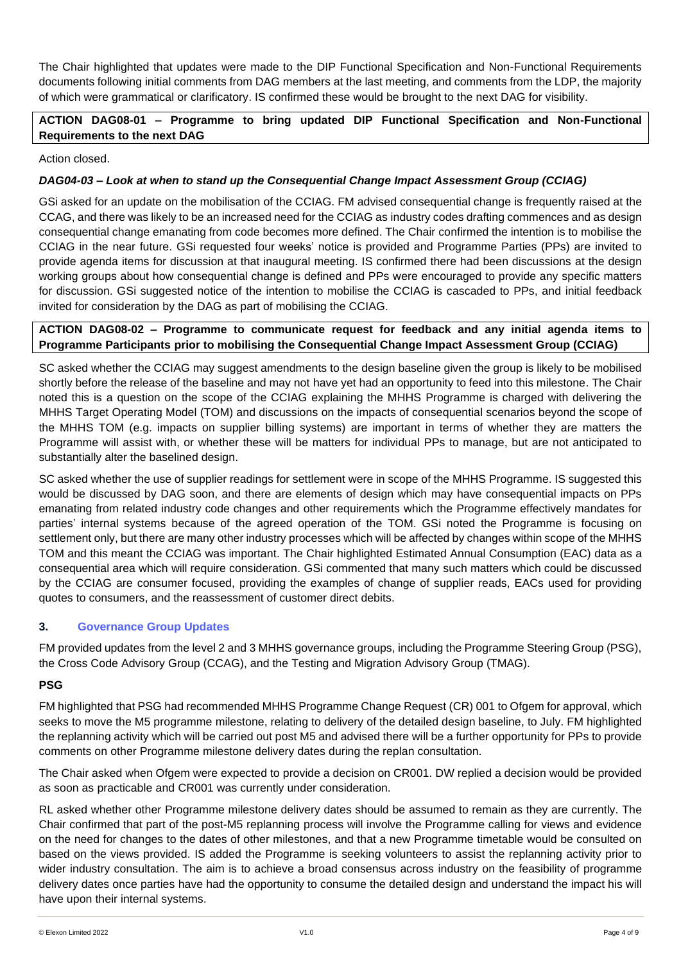The Chair highlighted that updates were made to the DIP Functional Specification and Non-Functional Requirements documents following initial comments from DAG members at the last meeting, and comments from the LDP, the majority of which were grammatical or clarificatory. IS confirmed these would be brought to the next DAG for visibility.

# **ACTION DAG08-01 – Programme to bring updated DIP Functional Specification and Non-Functional Requirements to the next DAG**

## Action closed.

# *DAG04-03 – Look at when to stand up the Consequential Change Impact Assessment Group (CCIAG)*

GSi asked for an update on the mobilisation of the CCIAG. FM advised consequential change is frequently raised at the CCAG, and there was likely to be an increased need for the CCIAG as industry codes drafting commences and as design consequential change emanating from code becomes more defined. The Chair confirmed the intention is to mobilise the CCIAG in the near future. GSi requested four weeks' notice is provided and Programme Parties (PPs) are invited to provide agenda items for discussion at that inaugural meeting. IS confirmed there had been discussions at the design working groups about how consequential change is defined and PPs were encouraged to provide any specific matters for discussion. GSi suggested notice of the intention to mobilise the CCIAG is cascaded to PPs, and initial feedback invited for consideration by the DAG as part of mobilising the CCIAG.

## **ACTION DAG08-02 – Programme to communicate request for feedback and any initial agenda items to Programme Participants prior to mobilising the Consequential Change Impact Assessment Group (CCIAG)**

SC asked whether the CCIAG may suggest amendments to the design baseline given the group is likely to be mobilised shortly before the release of the baseline and may not have yet had an opportunity to feed into this milestone. The Chair noted this is a question on the scope of the CCIAG explaining the MHHS Programme is charged with delivering the MHHS Target Operating Model (TOM) and discussions on the impacts of consequential scenarios beyond the scope of the MHHS TOM (e.g. impacts on supplier billing systems) are important in terms of whether they are matters the Programme will assist with, or whether these will be matters for individual PPs to manage, but are not anticipated to substantially alter the baselined design.

SC asked whether the use of supplier readings for settlement were in scope of the MHHS Programme. IS suggested this would be discussed by DAG soon, and there are elements of design which may have consequential impacts on PPs emanating from related industry code changes and other requirements which the Programme effectively mandates for parties' internal systems because of the agreed operation of the TOM. GSi noted the Programme is focusing on settlement only, but there are many other industry processes which will be affected by changes within scope of the MHHS TOM and this meant the CCIAG was important. The Chair highlighted Estimated Annual Consumption (EAC) data as a consequential area which will require consideration. GSi commented that many such matters which could be discussed by the CCIAG are consumer focused, providing the examples of change of supplier reads, EACs used for providing quotes to consumers, and the reassessment of customer direct debits.

# **3. Governance Group Updates**

FM provided updates from the level 2 and 3 MHHS governance groups, including the Programme Steering Group (PSG), the Cross Code Advisory Group (CCAG), and the Testing and Migration Advisory Group (TMAG).

# **PSG**

FM highlighted that PSG had recommended MHHS Programme Change Request (CR) 001 to Ofgem for approval, which seeks to move the M5 programme milestone, relating to delivery of the detailed design baseline, to July. FM highlighted the replanning activity which will be carried out post M5 and advised there will be a further opportunity for PPs to provide comments on other Programme milestone delivery dates during the replan consultation.

The Chair asked when Ofgem were expected to provide a decision on CR001. DW replied a decision would be provided as soon as practicable and CR001 was currently under consideration.

RL asked whether other Programme milestone delivery dates should be assumed to remain as they are currently. The Chair confirmed that part of the post-M5 replanning process will involve the Programme calling for views and evidence on the need for changes to the dates of other milestones, and that a new Programme timetable would be consulted on based on the views provided. IS added the Programme is seeking volunteers to assist the replanning activity prior to wider industry consultation. The aim is to achieve a broad consensus across industry on the feasibility of programme delivery dates once parties have had the opportunity to consume the detailed design and understand the impact his will have upon their internal systems.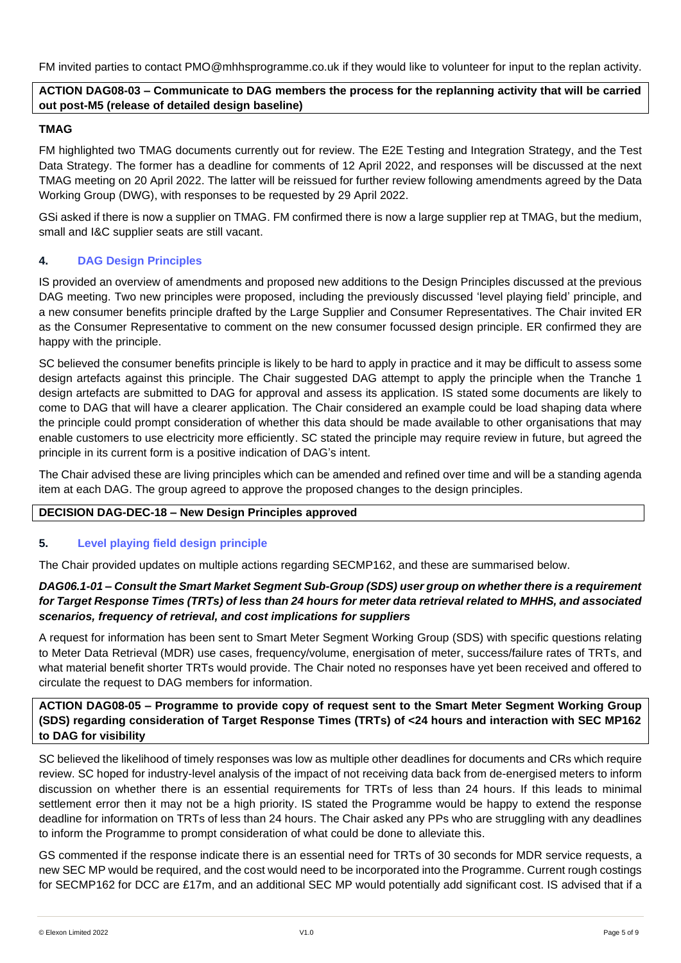FM invited parties to contact PMO@mhhsprogramme.co.uk if they would like to volunteer for input to the replan activity.

# **ACTION DAG08-03 – Communicate to DAG members the process for the replanning activity that will be carried out post-M5 (release of detailed design baseline)**

# **TMAG**

FM highlighted two TMAG documents currently out for review. The E2E Testing and Integration Strategy, and the Test Data Strategy. The former has a deadline for comments of 12 April 2022, and responses will be discussed at the next TMAG meeting on 20 April 2022. The latter will be reissued for further review following amendments agreed by the Data Working Group (DWG), with responses to be requested by 29 April 2022.

GSi asked if there is now a supplier on TMAG. FM confirmed there is now a large supplier rep at TMAG, but the medium, small and I&C supplier seats are still vacant.

## **4. DAG Design Principles**

IS provided an overview of amendments and proposed new additions to the Design Principles discussed at the previous DAG meeting. Two new principles were proposed, including the previously discussed 'level playing field' principle, and a new consumer benefits principle drafted by the Large Supplier and Consumer Representatives. The Chair invited ER as the Consumer Representative to comment on the new consumer focussed design principle. ER confirmed they are happy with the principle.

SC believed the consumer benefits principle is likely to be hard to apply in practice and it may be difficult to assess some design artefacts against this principle. The Chair suggested DAG attempt to apply the principle when the Tranche 1 design artefacts are submitted to DAG for approval and assess its application. IS stated some documents are likely to come to DAG that will have a clearer application. The Chair considered an example could be load shaping data where the principle could prompt consideration of whether this data should be made available to other organisations that may enable customers to use electricity more efficiently. SC stated the principle may require review in future, but agreed the principle in its current form is a positive indication of DAG's intent.

The Chair advised these are living principles which can be amended and refined over time and will be a standing agenda item at each DAG. The group agreed to approve the proposed changes to the design principles.

#### **DECISION DAG-DEC-18 – New Design Principles approved**

#### **5. Level playing field design principle**

The Chair provided updates on multiple actions regarding SECMP162, and these are summarised below.

## *DAG06.1-01 – Consult the Smart Market Segment Sub-Group (SDS) user group on whether there is a requirement for Target Response Times (TRTs) of less than 24 hours for meter data retrieval related to MHHS, and associated scenarios, frequency of retrieval, and cost implications for suppliers*

A request for information has been sent to Smart Meter Segment Working Group (SDS) with specific questions relating to Meter Data Retrieval (MDR) use cases, frequency/volume, energisation of meter, success/failure rates of TRTs, and what material benefit shorter TRTs would provide. The Chair noted no responses have yet been received and offered to circulate the request to DAG members for information.

## **ACTION DAG08-05 – Programme to provide copy of request sent to the Smart Meter Segment Working Group (SDS) regarding consideration of Target Response Times (TRTs) of <24 hours and interaction with SEC MP162 to DAG for visibility**

SC believed the likelihood of timely responses was low as multiple other deadlines for documents and CRs which require review. SC hoped for industry-level analysis of the impact of not receiving data back from de-energised meters to inform discussion on whether there is an essential requirements for TRTs of less than 24 hours. If this leads to minimal settlement error then it may not be a high priority. IS stated the Programme would be happy to extend the response deadline for information on TRTs of less than 24 hours. The Chair asked any PPs who are struggling with any deadlines to inform the Programme to prompt consideration of what could be done to alleviate this.

GS commented if the response indicate there is an essential need for TRTs of 30 seconds for MDR service requests, a new SEC MP would be required, and the cost would need to be incorporated into the Programme. Current rough costings for SECMP162 for DCC are £17m, and an additional SEC MP would potentially add significant cost. IS advised that if a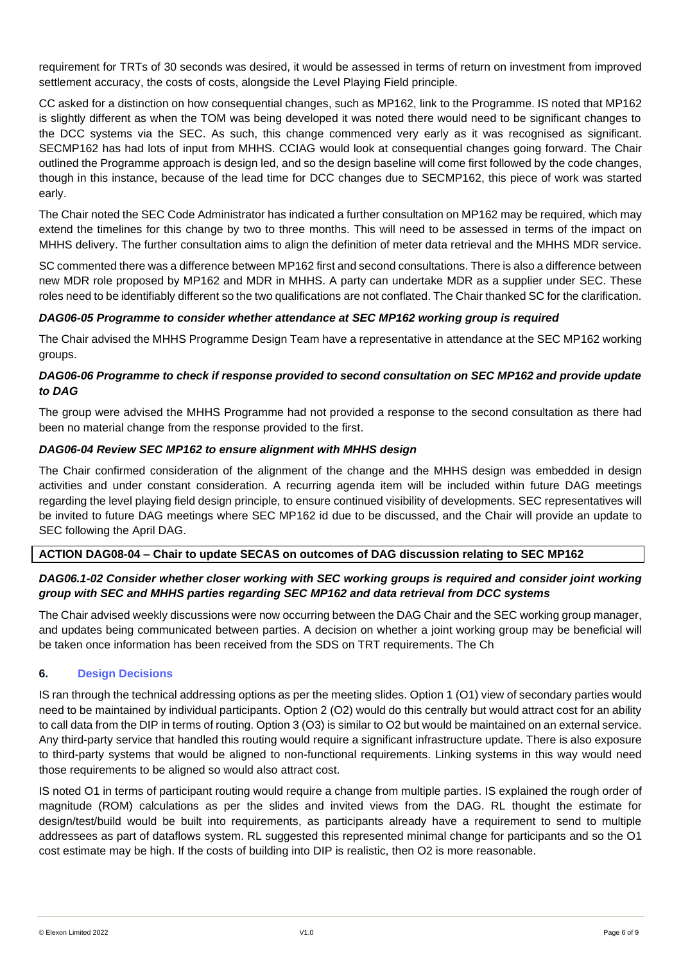requirement for TRTs of 30 seconds was desired, it would be assessed in terms of return on investment from improved settlement accuracy, the costs of costs, alongside the Level Playing Field principle.

CC asked for a distinction on how consequential changes, such as MP162, link to the Programme. IS noted that MP162 is slightly different as when the TOM was being developed it was noted there would need to be significant changes to the DCC systems via the SEC. As such, this change commenced very early as it was recognised as significant. SECMP162 has had lots of input from MHHS. CCIAG would look at consequential changes going forward. The Chair outlined the Programme approach is design led, and so the design baseline will come first followed by the code changes, though in this instance, because of the lead time for DCC changes due to SECMP162, this piece of work was started early.

The Chair noted the SEC Code Administrator has indicated a further consultation on MP162 may be required, which may extend the timelines for this change by two to three months. This will need to be assessed in terms of the impact on MHHS delivery. The further consultation aims to align the definition of meter data retrieval and the MHHS MDR service.

SC commented there was a difference between MP162 first and second consultations. There is also a difference between new MDR role proposed by MP162 and MDR in MHHS. A party can undertake MDR as a supplier under SEC. These roles need to be identifiably different so the two qualifications are not conflated. The Chair thanked SC for the clarification.

## *DAG06-05 Programme to consider whether attendance at SEC MP162 working group is required*

The Chair advised the MHHS Programme Design Team have a representative in attendance at the SEC MP162 working groups.

# *DAG06-06 Programme to check if response provided to second consultation on SEC MP162 and provide update to DAG*

The group were advised the MHHS Programme had not provided a response to the second consultation as there had been no material change from the response provided to the first.

## *DAG06-04 Review SEC MP162 to ensure alignment with MHHS design*

The Chair confirmed consideration of the alignment of the change and the MHHS design was embedded in design activities and under constant consideration. A recurring agenda item will be included within future DAG meetings regarding the level playing field design principle, to ensure continued visibility of developments. SEC representatives will be invited to future DAG meetings where SEC MP162 id due to be discussed, and the Chair will provide an update to SEC following the April DAG.

# **ACTION DAG08-04 – Chair to update SECAS on outcomes of DAG discussion relating to SEC MP162**

# *DAG06.1-02 Consider whether closer working with SEC working groups is required and consider joint working group with SEC and MHHS parties regarding SEC MP162 and data retrieval from DCC systems*

The Chair advised weekly discussions were now occurring between the DAG Chair and the SEC working group manager, and updates being communicated between parties. A decision on whether a joint working group may be beneficial will be taken once information has been received from the SDS on TRT requirements. The Ch

# **6. Design Decisions**

IS ran through the technical addressing options as per the meeting slides. Option 1 (O1) view of secondary parties would need to be maintained by individual participants. Option 2 (O2) would do this centrally but would attract cost for an ability to call data from the DIP in terms of routing. Option 3 (O3) is similar to O2 but would be maintained on an external service. Any third-party service that handled this routing would require a significant infrastructure update. There is also exposure to third-party systems that would be aligned to non-functional requirements. Linking systems in this way would need those requirements to be aligned so would also attract cost.

IS noted O1 in terms of participant routing would require a change from multiple parties. IS explained the rough order of magnitude (ROM) calculations as per the slides and invited views from the DAG. RL thought the estimate for design/test/build would be built into requirements, as participants already have a requirement to send to multiple addressees as part of dataflows system. RL suggested this represented minimal change for participants and so the O1 cost estimate may be high. If the costs of building into DIP is realistic, then O2 is more reasonable.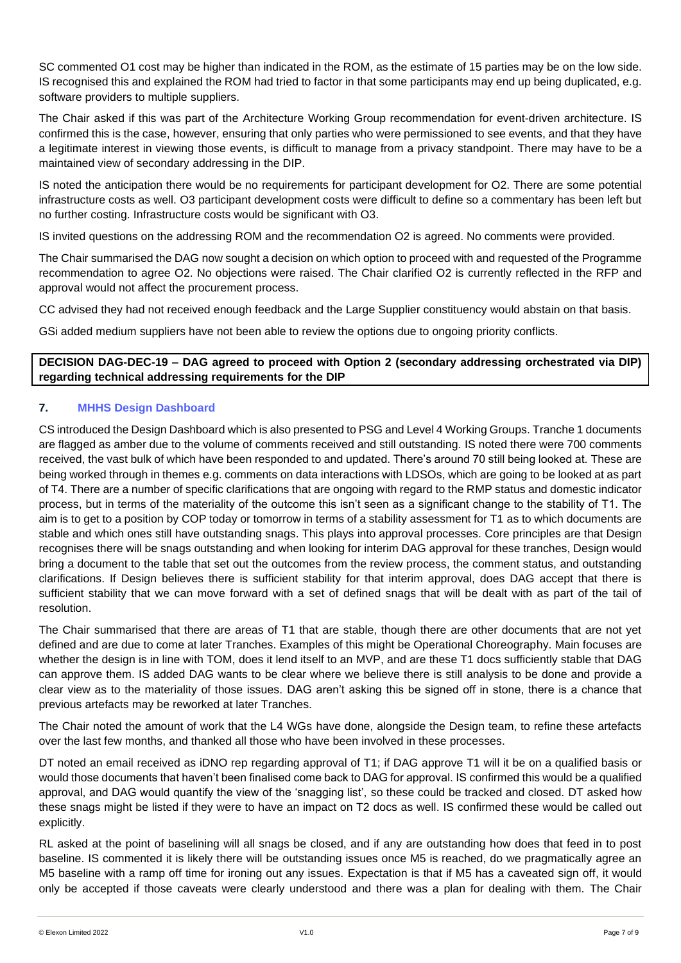SC commented O1 cost may be higher than indicated in the ROM, as the estimate of 15 parties may be on the low side. IS recognised this and explained the ROM had tried to factor in that some participants may end up being duplicated, e.g. software providers to multiple suppliers.

The Chair asked if this was part of the Architecture Working Group recommendation for event-driven architecture. IS confirmed this is the case, however, ensuring that only parties who were permissioned to see events, and that they have a legitimate interest in viewing those events, is difficult to manage from a privacy standpoint. There may have to be a maintained view of secondary addressing in the DIP.

IS noted the anticipation there would be no requirements for participant development for O2. There are some potential infrastructure costs as well. O3 participant development costs were difficult to define so a commentary has been left but no further costing. Infrastructure costs would be significant with O3.

IS invited questions on the addressing ROM and the recommendation O2 is agreed. No comments were provided.

The Chair summarised the DAG now sought a decision on which option to proceed with and requested of the Programme recommendation to agree O2. No objections were raised. The Chair clarified O2 is currently reflected in the RFP and approval would not affect the procurement process.

CC advised they had not received enough feedback and the Large Supplier constituency would abstain on that basis.

GSi added medium suppliers have not been able to review the options due to ongoing priority conflicts.

# **DECISION DAG-DEC-19 – DAG agreed to proceed with Option 2 (secondary addressing orchestrated via DIP) regarding technical addressing requirements for the DIP**

# **7. MHHS Design Dashboard**

CS introduced the Design Dashboard which is also presented to PSG and Level 4 Working Groups. Tranche 1 documents are flagged as amber due to the volume of comments received and still outstanding. IS noted there were 700 comments received, the vast bulk of which have been responded to and updated. There's around 70 still being looked at. These are being worked through in themes e.g. comments on data interactions with LDSOs, which are going to be looked at as part of T4. There are a number of specific clarifications that are ongoing with regard to the RMP status and domestic indicator process, but in terms of the materiality of the outcome this isn't seen as a significant change to the stability of T1. The aim is to get to a position by COP today or tomorrow in terms of a stability assessment for T1 as to which documents are stable and which ones still have outstanding snags. This plays into approval processes. Core principles are that Design recognises there will be snags outstanding and when looking for interim DAG approval for these tranches, Design would bring a document to the table that set out the outcomes from the review process, the comment status, and outstanding clarifications. If Design believes there is sufficient stability for that interim approval, does DAG accept that there is sufficient stability that we can move forward with a set of defined snags that will be dealt with as part of the tail of resolution.

The Chair summarised that there are areas of T1 that are stable, though there are other documents that are not yet defined and are due to come at later Tranches. Examples of this might be Operational Choreography. Main focuses are whether the design is in line with TOM, does it lend itself to an MVP, and are these T1 docs sufficiently stable that DAG can approve them. IS added DAG wants to be clear where we believe there is still analysis to be done and provide a clear view as to the materiality of those issues. DAG aren't asking this be signed off in stone, there is a chance that previous artefacts may be reworked at later Tranches.

The Chair noted the amount of work that the L4 WGs have done, alongside the Design team, to refine these artefacts over the last few months, and thanked all those who have been involved in these processes.

DT noted an email received as iDNO rep regarding approval of T1; if DAG approve T1 will it be on a qualified basis or would those documents that haven't been finalised come back to DAG for approval. IS confirmed this would be a qualified approval, and DAG would quantify the view of the 'snagging list', so these could be tracked and closed. DT asked how these snags might be listed if they were to have an impact on T2 docs as well. IS confirmed these would be called out explicitly.

RL asked at the point of baselining will all snags be closed, and if any are outstanding how does that feed in to post baseline. IS commented it is likely there will be outstanding issues once M5 is reached, do we pragmatically agree an M5 baseline with a ramp off time for ironing out any issues. Expectation is that if M5 has a caveated sign off, it would only be accepted if those caveats were clearly understood and there was a plan for dealing with them. The Chair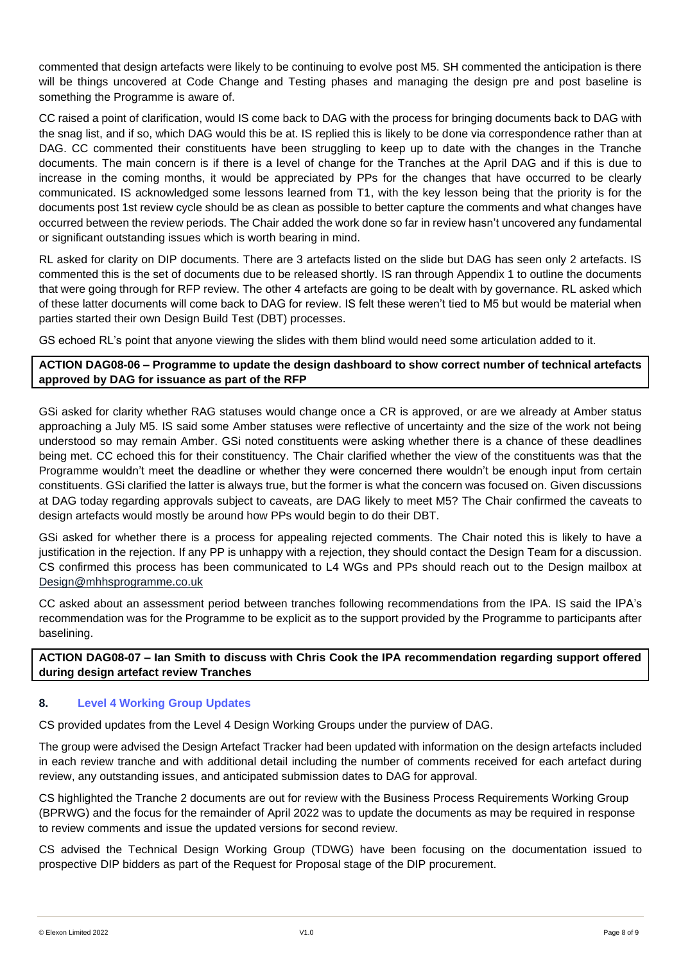commented that design artefacts were likely to be continuing to evolve post M5. SH commented the anticipation is there will be things uncovered at Code Change and Testing phases and managing the design pre and post baseline is something the Programme is aware of.

CC raised a point of clarification, would IS come back to DAG with the process for bringing documents back to DAG with the snag list, and if so, which DAG would this be at. IS replied this is likely to be done via correspondence rather than at DAG. CC commented their constituents have been struggling to keep up to date with the changes in the Tranche documents. The main concern is if there is a level of change for the Tranches at the April DAG and if this is due to increase in the coming months, it would be appreciated by PPs for the changes that have occurred to be clearly communicated. IS acknowledged some lessons learned from T1, with the key lesson being that the priority is for the documents post 1st review cycle should be as clean as possible to better capture the comments and what changes have occurred between the review periods. The Chair added the work done so far in review hasn't uncovered any fundamental or significant outstanding issues which is worth bearing in mind.

RL asked for clarity on DIP documents. There are 3 artefacts listed on the slide but DAG has seen only 2 artefacts. IS commented this is the set of documents due to be released shortly. IS ran through Appendix 1 to outline the documents that were going through for RFP review. The other 4 artefacts are going to be dealt with by governance. RL asked which of these latter documents will come back to DAG for review. IS felt these weren't tied to M5 but would be material when parties started their own Design Build Test (DBT) processes.

GS echoed RL's point that anyone viewing the slides with them blind would need some articulation added to it.

# **ACTION DAG08-06 – Programme to update the design dashboard to show correct number of technical artefacts approved by DAG for issuance as part of the RFP**

GSi asked for clarity whether RAG statuses would change once a CR is approved, or are we already at Amber status approaching a July M5. IS said some Amber statuses were reflective of uncertainty and the size of the work not being understood so may remain Amber. GSi noted constituents were asking whether there is a chance of these deadlines being met. CC echoed this for their constituency. The Chair clarified whether the view of the constituents was that the Programme wouldn't meet the deadline or whether they were concerned there wouldn't be enough input from certain constituents. GSi clarified the latter is always true, but the former is what the concern was focused on. Given discussions at DAG today regarding approvals subject to caveats, are DAG likely to meet M5? The Chair confirmed the caveats to design artefacts would mostly be around how PPs would begin to do their DBT.

GSi asked for whether there is a process for appealing rejected comments. The Chair noted this is likely to have a justification in the rejection. If any PP is unhappy with a rejection, they should contact the Design Team for a discussion. CS confirmed this process has been communicated to L4 WGs and PPs should reach out to the Design mailbox at [Design@mhhsprogramme.co.uk](mailto:Design@mhhsprogramme.co.uk)

CC asked about an assessment period between tranches following recommendations from the IPA. IS said the IPA's recommendation was for the Programme to be explicit as to the support provided by the Programme to participants after baselining.

# **ACTION DAG08-07 – Ian Smith to discuss with Chris Cook the IPA recommendation regarding support offered during design artefact review Tranches**

# **8. Level 4 Working Group Updates**

CS provided updates from the Level 4 Design Working Groups under the purview of DAG.

The group were advised the Design Artefact Tracker had been updated with information on the design artefacts included in each review tranche and with additional detail including the number of comments received for each artefact during review, any outstanding issues, and anticipated submission dates to DAG for approval.

CS highlighted the Tranche 2 documents are out for review with the Business Process Requirements Working Group (BPRWG) and the focus for the remainder of April 2022 was to update the documents as may be required in response to review comments and issue the updated versions for second review.

CS advised the Technical Design Working Group (TDWG) have been focusing on the documentation issued to prospective DIP bidders as part of the Request for Proposal stage of the DIP procurement.